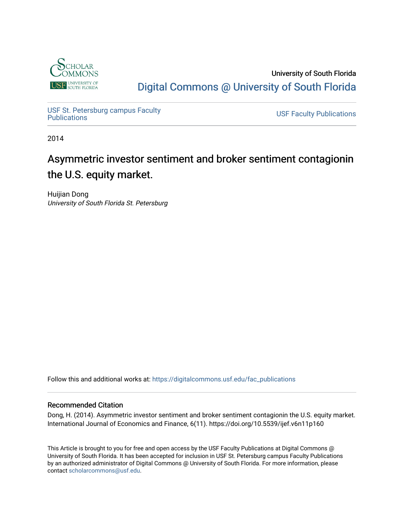

University of South Florida [Digital Commons @ University of South Florida](https://digitalcommons.usf.edu/) 

USF St. Petersburg campus Faculty<br>Publications

**USF Faculty Publications** 

2014

# Asymmetric investor sentiment and broker sentiment contagionin the U.S. equity market.

Huijian Dong University of South Florida St. Petersburg

Follow this and additional works at: [https://digitalcommons.usf.edu/fac\\_publications](https://digitalcommons.usf.edu/fac_publications?utm_source=digitalcommons.usf.edu%2Ffac_publications%2F3645&utm_medium=PDF&utm_campaign=PDFCoverPages)

### Recommended Citation

Dong, H. (2014). Asymmetric investor sentiment and broker sentiment contagionin the U.S. equity market. International Journal of Economics and Finance, 6(11). https://doi.org/10.5539/ijef.v6n11p160

This Article is brought to you for free and open access by the USF Faculty Publications at Digital Commons @ University of South Florida. It has been accepted for inclusion in USF St. Petersburg campus Faculty Publications by an authorized administrator of Digital Commons @ University of South Florida. For more information, please contact [scholarcommons@usf.edu](mailto:scholarcommons@usf.edu).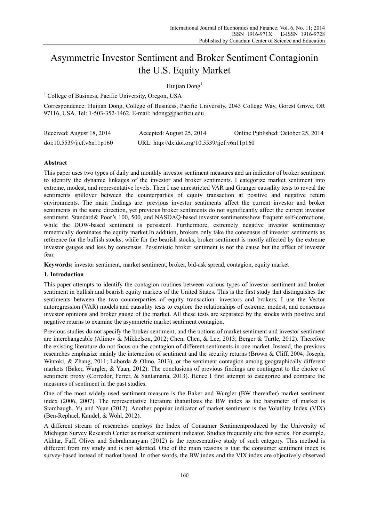## Asymmetric Investor Sentiment and Broker Sentiment Contagionin the U.S. Equity Market

Huijian Dong<sup>1</sup>

<sup>1</sup> College of Business, Pacific University, Oregon, USA

Correspondence: Huijian Dong, College of Business, Pacific University, 2043 College Way, Gorest Grove, OR 97116, USA. Tel: 1-503-352-1462. E-mail: hdong@pacificu.edu

| Received: August 18, 2014  | Accepted: August 25, 2014                     | Online Published: October 25, 2014 |
|----------------------------|-----------------------------------------------|------------------------------------|
| doi:10.5539/ijef.v6n11p160 | URL: http://dx.doi.org/10.5539/ijef.v6n11p160 |                                    |

#### **Abstract**

This paper uses two types of daily and monthly investor sentiment measures and an indicator of broker sentiment to identify the dynamic linkages of the investor and broker sentiments. I categorize market sentiment into extreme, modest, and representative levels. Then I use unrestricted VAR and Granger causality tests to reveal the sentiments spillover between the counterparties of equity transaction at positive and negative return environments. The main findings are: previous investor sentiments affect the current investor and broker sentiments in the same direction, yet previous broker sentiments do not significantly affect the current investor sentiment. Standard& Poor's 100, 500, and NASDAO-based investor sentimentsshow frequent self-corrections. while the DOW-based sentiment is persistent. Furthermore, extremely negative investor sentimentasy mmetrically dominates the equity market.In addition, brokers only take the consensus of investor sentiments as reference for the bullish stocks; while for the bearish stocks, broker sentiment is mostly affected by the extreme investor gauges and less by consensus. Pessimistic broker sentiment is not the cause but the effect of investor fear.

**Keywords:** investor sentiment, market sentiment, broker, bid-ask spread, contagion, equity market

#### **1. Introduction**

This paper attempts to identify the contagion routines between various types of investor sentiment and broker sentiment in bullish and bearish equity markets of the United States. This is the first study that distinguishes the sentiments between the two counterparties of equity transaction: investors and brokers. I use the Vector autoregression (VAR) models and causality tests to explore the relationships of extreme, modest, and consensus investor opinions and broker gauge of the market. All these tests are separated by the stocks with positive and negative returns to examine the asymmetric market sentiment contagion.

Previous studies do not specify the broker sentiment, and the notions of market sentiment and investor sentiment are interchangeable (Alimov & Mikkelson, 2012; Chen, Chen, & Lee, 2013; Berger & Turtle, 2012). Therefore the existing literature do not focus on the contagion of different sentiments in one market. Instead, the previous researches emphasize mainly the interaction of sentiment and the security returns (Brown & Cliff, 2004; Joseph, Wintoki, & Zhang, 2011; Laborda & Olmo, 2013), or the sentiment contagion among geographically different markets (Baker, Wurgler, & Yuan, 2012). The conclusions of previous findings are contingent to the choice of sentiment proxy (Corredor, Ferrer, & Santamaria, 2013). Hence I first attempt to categorize and compare the measures of sentiment in the past studies.

One of the most widely used sentiment measure is the Baker and Wurgler (BW thereafter) market sentiment index (2006, 2007). The representative literature thatutilizes the BW index as the barometer of market is Stambaugh, Yu and Yuan (2012). Another popular indicator of market sentiment is the Volatility Index (VIX) (Ben-Rephael, Kandel, & Wohl, 2012).

A different stream of researches employs the Index of Consumer Sentimentproduced by the University of Michigan Survey Research Center as market sentiment indicator. Studies frequently cite this series. For example, Akhtar, Faff, Oliver and Subrahmanyam (2012) is the representative study of such category. This method is different from my study and is not adopted. One of the main reasons is that the consumer sentiment index is survey-based instead of market based. In other words, the BW index and the VIX index are objectively observed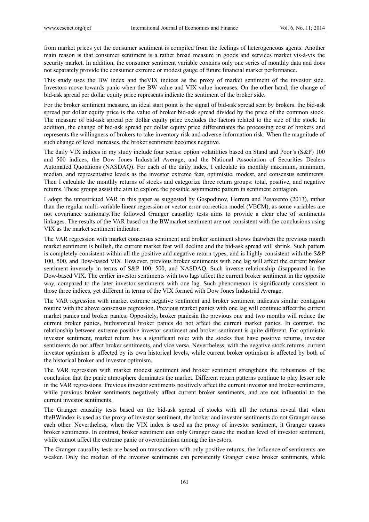from market prices yet the consumer sentiment is compiled from the feelings of heterogeneous agents. Another main reason is that consumer sentiment is a rather broad measure in goods and services market vis-à-vis the security market. In addition, the consumer sentiment variable contains only one series of monthly data and does not separately provide the consumer extreme or modest gauge of future financial market performance.

This study uses the BW index and theVIX indices as the proxy of market sentiment of the investor side. Investors move towards panic when the BW value and VIX value increases. On the other hand, the change of bid-ask spread per dollar equity price represents indicate the sentiment of the broker side.

For the broker sentiment measure, an ideal start point is the signal of bid-ask spread sent by brokers. the bid-ask spread per dollar equity price is the value of broker bid-ask spread divided by the price of the common stock. The measure of bid-ask spread per dollar equity price excludes the factors related to the size of the stock. In addition, the change of bid-ask spread per dollar equity price differentiates the processing cost of brokers and represents the willingness of brokers to take inventory risk and adverse information risk. When the magnitude of such change of level increases, the broker sentiment becomes negative.

The daily VIX indices in my study include four series: option volatilities based on Stand and Poor's (S&P) 100 and 500 indices, the Dow Jones Industrial Average, and the National Association of Securities Dealers Automated Quotations (NASDAQ). For each of the daily index, I calculate its monthly maximum, minimum, median, and representative levels as the investor extreme fear, optimistic, modest, and consensus sentiments. Then I calculate the monthly returns of stocks and categorize three return groups: total, positive, and negative returns. These groups assist the aim to explore the possible asymmetric pattern in sentiment contagion.

I adopt the unrestricted VAR in this paper as suggested by Gospodinov, Herrera and Pesavento (2013), rather than the regular multi-variable linear regression or vector error correction model (VECM), as some variables are not covariance stationary.The followed Granger causality tests aims to provide a clear clue of sentiments linkages. The results of the VAR based on the BWmarket sentiment are not consistent with the conclusions using VIX as the market sentiment indicator.

The VAR regression with market consensus sentiment and broker sentiment shows thatwhen the previous month market sentiment is bullish, the current market fear will decline and the bid-ask spread will shrink. Such pattern is completely consistent within all the positive and negative return types, and is highly consistent with the S&P 100, 500, and Dow-based VIX. However, previous broker sentiments with one lag will affect the current broker sentiment inversely in terms of S&P 100, 500, and NASDAQ. Such inverse relationship disappeared in the Dow-based VIX. The earlier investor sentiments with two lags affect the current broker sentiment in the opposite way, compared to the later investor sentiments with one lag. Such phenomenon is significantly consistent in those three indices, yet different in terms of the VIX formed with Dow Jones Industrial Average.

The VAR regression with market extreme negative sentiment and broker sentiment indicates similar contagion routine with the above consensus regression. Previous market panics with one lag will continue affect the current market panics and broker panics. Oppositely, broker panicsin the previous one and two months will reduce the current broker panics, buthistorical broker panics do not affect the current market panics. In contrast, the relationship between extreme positive investor sentiment and broker sentiment is quite different. For optimistic investor sentiment, market return has a significant role: with the stocks that have positive returns, investor sentiments do not affect broker sentiments, and vice versa. Nevertheless, with the negative stock returns, current investor optimism is affected by its own historical levels, while current broker optimism is affected by both of the historical broker and investor optimism.

The VAR regression with market modest sentiment and broker sentiment strengthens the robustness of the conclusion that the panic atmosphere dominates the market. Different return patterns continue to play lesser role in the VAR regressions. Previous investor sentiments positively affect the current investor and broker sentiments, while previous broker sentiments negatively affect current broker sentiments, and are not influential to the current investor sentiments.

The Granger causality tests based on the bid-ask spread of stocks with all the returns reveal that when theBWindex is used as the proxy of investor sentiment, the broker and investor sentiments do not Granger cause each other. Nevertheless, when the VIX index is used as the proxy of investor sentiment, it Granger causes broker sentiments. In contrast, broker sentiment can only Granger cause the median level of investor sentiment, while cannot affect the extreme panic or overoptimism among the investors.

The Granger causality tests are based on transactions with only positive returns, the influence of sentiments are weaker. Only the median of the investor sentiments can persistently Granger cause broker sentiments, while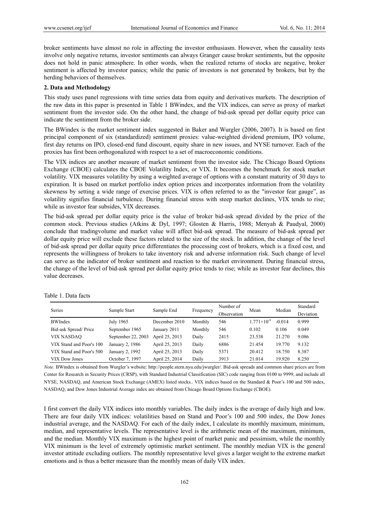broker sentiments have almost no role in affecting the investor enthusiasm. However, when the causality tests involve only negative returns, investor sentiments can always Granger cause broker sentiments, but the opposite does not hold in panic atmosphere. In other words, when the realized returns of stocks are negative, broker sentiment is affected by investor panics; while the panic of investors is not generated by brokers, but by the herding behaviors of themselves.

#### **2. Data and Methodology**

This study uses panel regressions with time series data from equity and derivatives markets. The description of the raw data in this paper is presented in Table 1 BWindex, and the VIX indices, can serve as proxy of market sentiment from the investor side. On the other hand, the change of bid-ask spread per dollar equity price can indicate the sentiment from the broker side.

The BWindex is the market sentiment index suggested in Baker and Wurgler (2006, 2007). It is based on first principal component of six (standardized) sentiment proxies: value-weighted dividend premium, IPO volume, first day returns on IPO, closed-end fund discount, equity share in new issues, and NYSE turnover. Each of the proxies has first been orthogonalized with respect to a set of macroeconomic conditions.

The VIX indices are another measure of market sentiment from the investor side. The Chicago Board Options Exchange (CBOE) calculates the CBOE Volatility Index, or VIX. It becomes the benchmark for stock market volatility. VIX measures volatility by using a weighted average of options with a constant maturity of 30 days to expiration. It is based on market portfolio index option prices and incorporates information from the volatility skewness by setting a wide range of exercise prices. VIX is often referred to as the "investor fear gauge", as volatility signifies financial turbulence. During financial stress with steep market declines, VIX tends to rise; while as investor fear subsides, VIX decreases.

The bid-ask spread per dollar equity price is the value of broker bid-ask spread divided by the price of the common stock. Previous studies (Atkins & Dyl, 1997; Glosten & Harris, 1988; Menyah & Paudyal, 2000) conclude that tradingvolume and market value will affect bid-ask spread. The measure of bid-ask spread per dollar equity price will exclude these factors related to the size of the stock. In addition, the change of the level of bid-ask spread per dollar equity price differentiates the processing cost of brokers, which is a fixed cost, and represents the willingness of brokers to take inventory risk and adverse information risk. Such change of level can serve as the indicator of broker sentiment and reaction to the market environment. During financial stress, the change of the level of bid-ask spread per dollar equity price tends to rise; while as investor fear declines, this value decreases.

| Series                   |                    |                |           | Number of   | Mean                 | Median   | Standard  |
|--------------------------|--------------------|----------------|-----------|-------------|----------------------|----------|-----------|
|                          | Sample Start       | Sample End     | Frequency | Observation |                      |          | Deviation |
| <b>BWIndex</b>           | July 1965          | December 2010  | Monthly   | 546         | $1.771\times10^{-9}$ | $-0.014$ | 0.999     |
| Bid-ask Spread/Price     | September 1965     | January 2011   | Monthly   | 546         | 0.102                | 0.106    | 0.049     |
| <b>VIX NASDAQ</b>        | September 22, 2003 | April 25, 2013 | Daily     | 2415        | 23.538               | 21.270   | 9.086     |
| VIX Stand and Poor's 100 | January 2, 1986    | April 25, 2013 | Daily     | 6886        | 21.454               | 19.770   | 9.132     |
| VIX Stand and Poor's 500 | January 2, 1992    | April 25, 2013 | Daily     | 5371        | 20.412               | 18.750   | 8.387     |
| VIX Dow Jones            | October 7, 1997    | April 25, 2014 | Daily     | 3913        | 21.014               | 19.920   | 8.250     |

Table 1. Data facts

*Note.* BWindex is obtained from Wurgler's website: http://people.stern.nyu.edu/jwurgler/. Bid-ask spreads and common share prices are from Center for Research in Security Prices (CRSP), with Standard Industrial Classification (SIC) code ranging from 0100 to 9999, and include all NYSE, NASDAQ, and American Stock Exchange (AMEX) listed stocks.. VIX indices based on the Standard & Poor's 100 and 500 index, NASDAQ, and Dow Jones Industrial Average index are obtained from Chicago Board Options Exchange (CBOE).

I first convert the daily VIX indices into monthly variables. The daily index is the average of daily high and low. There are four daily VIX indices: volatilities based on Stand and Poor's 100 and 500 index, the Dow Jones industrial average, and the NASDAQ. For each of the daily index, I calculate its monthly maximum, minimum, median, and representative levels. The representative level is the arithmetic mean of the maximum, minimum, and the median. Monthly VIX maximum is the highest point of market panic and pessimism, while the monthly VIX minimum is the level of extremely optimistic market sentiment. The monthly median VIX is the general investor attitude excluding outliers. The monthly representative level gives a larger weight to the extreme market emotions and is thus a better measure than the monthly mean of daily VIX index.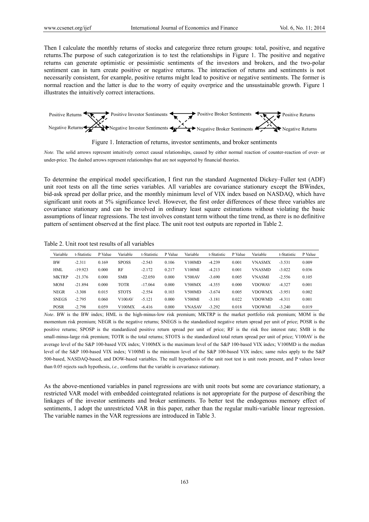Then I calculate the monthly returns of stocks and categorize three return groups: total, positive, and negative returns.The purpose of such categorization is to test the relationships in Figure 1. The positive and negative returns can generate optimistic or pessimistic sentiments of the investors and brokers, and the two-polar sentiment can in turn create positive or negative returns. The interaction of returns and sentiments is not necessarily consistent, for example, positive returns might lead to positive or negative sentiments. The former is normal reaction and the latter is due to the worry of equity overprice and the unsustainable growth. Figure 1 illustrates the intuitively correct interactions.





*Note.* The solid arrows represent intuitively correct causal relationships, caused by either normal reaction of counter-reaction of over- or under-price. The dashed arrows represent relationships that are not supported by financial theories.

To determine the empirical model specification, I first run the standard Augmented Dickey–Fuller test (ADF) unit root tests on all the time series variables. All variables are covariance stationary except the BWindex, bid-ask spread per dollar price, and the monthly minimum level of VIX index based on NASDAQ, which have significant unit roots at 5% significance level. However, the first order differences of these three variables are covariance stationary and can be involved in ordinary least square estimations without violating the basic assumptions of linear regressions. The test involves constant term without the time trend, as there is no definitive pattern of sentiment observed at the first place. The unit root test outputs are reported in Table 2.

Table 2. Unit root test results of all variables

| Variable     | t-Statistic | P Value | Variable     | t-Statistic | P Value | Variable      | t-Statistic | P Value | Variable      | t-Statistic | P Value |
|--------------|-------------|---------|--------------|-------------|---------|---------------|-------------|---------|---------------|-------------|---------|
| <b>BW</b>    | $-2.311$    | 0.169   | <b>SPOSS</b> | $-2.543$    | 0.106   | V100MD        | $-4.239$    | 0.001   | <b>VNASMX</b> | $-3.531$    | 0.009   |
| <b>HML</b>   | $-19.923$   | 0.000   | RF           | $-2.172$    | 0.217   | V100MI        | $-4.213$    | 0.001   | <b>VNASMD</b> | $-3.022$    | 0.036   |
| <b>MKTRP</b> | $-21.376$   | 0.000   | <b>SMB</b>   | $-22.050$   | 0.000   | <b>V500AV</b> | $-3.690$    | 0.005   | <b>VNASMI</b> | $-2.556$    | 0.105   |
| <b>MOM</b>   | $-21.894$   | 0.000   | <b>TOTR</b>  | $-17.064$   | 0.000   | V500MX        | $-4.355$    | 0.000   | <b>VDOWAV</b> | $-4.327$    | 0.001   |
| <b>NEGR</b>  | $-3.308$    | 0.015   | <b>STOTS</b> | $-2.554$    | 0.103   | V500MD        | $-3.674$    | 0.005   | <b>VDOWMX</b> | $-3.951$    | 0.002   |
| <b>SNEGS</b> | $-2.795$    | 0.060   | V100 AV      | $-5.121$    | 0.000   | V500MI        | $-3.181$    | 0.022   | VDOWMD        | $-4.311$    | 0.001   |
| <b>POSR</b>  | $-2.798$    | 0.059   | V100MX       | $-6.416$    | 0.000   | <b>VNASAV</b> | $-3.292$    | 0.018   | <b>VDOWMI</b> | $-3.240$    | 0.019   |

*Note*. BW is the BW index; HML is the high-minus-low risk premium; MKTRP is the market portfolio risk premium; MOM is the momentum risk premium; NEGR is the negative returns; SNEGS is the standardized negative return spread per unit of price; POSR is the positive returns; SPOSP is the standardized positive return spread per unit of price; RF is the risk free interest rate; SMB is the small-minus-large risk premium; TOTR is the total returns; STOTS is the standardized total return spread per unit of price; V100AV is the average level of the S&P 100-based VIX index; V100MX is the maximum level of the S&P 100-based VIX index; V100MD is the median level of the S&P 100-based VIX index; V100MI is the minimum level of the S&P 100-based VIX index; same rules apply to the S&P 500-based, NASDAQ-based, and DOW-based variables. The null hypothesis of the unit root test is unit roots present, and P values lower than 0.05 rejects such hypothesis, *i.e.,* confirms that the variable is covariance stationary.

As the above-mentioned variables in panel regressions are with unit roots but some are covariance stationary, a restricted VAR model with embedded cointegrated relations is not appropriate for the purpose of describing the linkages of the investor sentiments and broker sentiments. To better test the endogenous memory effect of sentiments, I adopt the unrestricted VAR in this paper, rather than the regular multi-variable linear regression. The variable names in the VAR regressions are introduced in Table 3.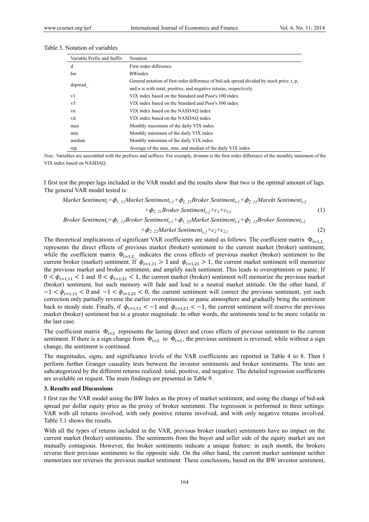| Variable Prefix and Suffix | Notation                                                                                   |
|----------------------------|--------------------------------------------------------------------------------------------|
| d                          | First order difference                                                                     |
| bw                         | <b>BWindex</b>                                                                             |
|                            | General notation of first order difference of bid-ask spread divided by stock price, t, p, |
| dspread                    | and n is with total, positive, and negative returns, respectively.                         |
| v1                         | VIX index based on the Standard and Poor's 100 index                                       |
| v5                         | VIX index based on the Standard and Poor's 500 index                                       |
| vn                         | VIX index based on the NASDAO index                                                        |
| vd                         | VIX index based on the NASDAO index                                                        |
| max                        | Monthly maximum of the daily VIX index                                                     |
| min                        | Monthly minimum of the daily VIX index                                                     |
| median                     | Monthly minimum of the daily VIX index                                                     |
| rep                        | Average of the max, min, and median of the daily VIX index                                 |

| Table 3. Notation of variables |
|--------------------------------|
|--------------------------------|

*Note.* Variables are assembled with the prefixes and suffixes. For example, dvnmin is the first order difference of the monthly minimum of the VIX index based on NASDAQ.

I first test the proper lags included in the VAR model and the results show that two is the optimal amount of lags. The general VAR model tested is:

Market Sentiment<sub>t</sub>=
$$
\phi_{1,11}
$$
Market Sentiment<sub>t-1</sub> +  $\phi_{1,21}$ Proker Sentiment<sub>t-1</sub> +  $\phi_{2,11}$ Market Sentiment<sub>t-2</sub>  
+ $\phi_{2,21}$ Proker Sentiment<sub>t-2</sub> + $c_1$ + $\varepsilon_{1,t}$  (1)

*Broker Sentimentt=*ϕ*1, 12Broker Sentimentt-1+*ϕ*1, 22Market Sentimentt-1+*ϕ*2, 12Broker Sentimentt-2*

$$
+\phi_{2, 22} Market\;Sentiment_{t-2}+c_2+\varepsilon_{2,t} \tag{2}
$$

The theoretical implications of significant VAR coefficients are stated as follows. The coefficient matrix  $\Phi_{i=1,1}$ represents the direct effects of previous market (broker) sentiment to the current market (broker) sentiment; while the coefficient matrix  $\Phi_{i=1,2}$  indicates the cross effects of previous market (broker) sentiment to the current broker (market) sentiment. If  $\phi_{i=1,11} > 1$  and  $\phi_{i=1,21} > 1$ , the current market sentiment will memorize the previous market and broker sentiment, and amplify such sentiment. This leads to overoptimism or panic. If  $0 < \phi_{i=1,11} < 1$  and  $0 < \phi_{i=1,21} < 1$ , the current market (broker) sentiment will memorize the previous market (broker) sentiment, but such memory will fade and lead to a neutral market attitude. On the other hand, if  $-1 < \phi_{i=1,11} < 0$  and  $-1 < \phi_{i=1,21} < 0$ , the current sentiment will correct the previous sentiment, yet such correction only partially reverse the earlier overoptimistic or panic atmosphere and gradually bring the sentiment back to steady state. Finally, if  $\phi_{i=1,11} < -1$  and  $\phi_{i=1,21} < -1$ , the current sentiment will reserve the previous market (broker) sentiment but to a greater magnitude. In other words, the sentiments tend to be more volatile in the last case.

The coefficient matrix  $\Phi_{i=2}$  represents the lasting direct and cross effects of previous sentiment to the current sentiment. If there is a sign change from  $\Phi_{i=2}$  to  $\Phi_{i=1}$ , the previous sentiment is reversed; while without a sign change, the sentiment is continued.

The magnitudes, signs, and significance levels of the VAR coefficients are reported in Table 4 to 8. Then I perform further Granger causality tests between the investor sentiments and broker sentiments. The tests are subcategorized by the different returns realized: total, positive, and negative. The detailed regression coefficients are available on request. The main findings are presented in Table 9.

#### **3. Results and Discussions**

I first run the VAR model using the BW Index as the proxy of market sentiment, and using the change of bid-ask spread per dollar equity price as the proxy of broker sentiment. The regression is performed in three settings: VAR with all returns involved, with only positive returns involved, and with only negative returns involved. Table 3.1 shows the results.

With all the types of returns included in the VAR, previous broker (market) sentiments have no impact on the current market (broker) sentiments. The sentiments from the buyer and seller side of the equity market are not mutually contagious. However, the broker sentiments indicate a unique feature: in each month, the brokers reverse their previous sentiments to the opposite side. On the other hand, the current market sentiment neither memorizes nor reverses the previous market sentiment. These conclusions, based on the BW investor sentiment,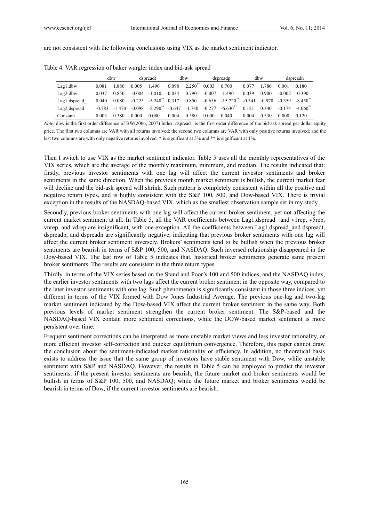are not consistent with the following conclusions using VIX as the market sentiment indicator.

|              |          | dbw     |          | dspreadt               |          | dbw          |          | dspreadp               |          | dbw      |          | dspreadn         |
|--------------|----------|---------|----------|------------------------|----------|--------------|----------|------------------------|----------|----------|----------|------------------|
| Lag1.dbw     | 0.081    | 1.880   | 0.005    | 1.490                  | 0.098    | $2.250^{**}$ | 0.003    | 0.700                  | 0.077    | .780     | 0.001    | 0.180            |
| Lag2.dbw     | 0.037    | 0.850   | $-0.004$ | $-1.010$               | 0.034    | 0.790        | $-0.007$ | $-1.490$               | 0.039    | 0.900    | $-0.002$ | $-0.390$         |
| Lag1.dspread | 0.040    | 0.080   | $-0.225$ | $-5.240$ <sup>**</sup> | 0.317    | 0.850        |          | $-0.656 -15.720$       | $-0.341$ | $-0.970$ | $-0.359$ | $-8.450$         |
| Lag2.dspread | $-0.783$ | $-1470$ | $-0.098$ | $-2.290$ <sup>**</sup> | $-0.647$ | $-1.740$     | $-0.277$ | $-6.630$ <sup>**</sup> | 0.121    | 0.340    | $-0.174$ | $-4.060^{\circ}$ |
| Constant     | 0.003    | 0.380   | 0.000    | 0.080                  | 0.004    | 0.580        | 0.000    | 0.040                  | 0.004    | 0.530    | 0.000    | 0.120            |

Table 4. VAR regression of baker wurgler index and bid-ask spread

*Note.* dbw is the first order difference of BW(2006, 2007) Index. dspread\_ is the first order difference of the bid-ask spread per dollar equity price. The first two columns are VAR with all returns involved; the second two columns are VAR with only positive returns involved; and the last two columns are with only negative returns involved. \* is significant at 5% and \*\* is significant at 1%.

Then I switch to use VIX as the market sentiment indicator. Table 5 uses all the monthly representatives of the VIX series, which are the average of the monthly maximum, minimum, and median. The results indicated that: firstly, previous investor sentiments with one lag will affect the current investor sentiments and broker sentiments in the same direction. When the previous month market sentiment is bullish, the current market fear will decline and the bid-ask spread will shrink. Such pattern is completely consistent within all the positive and negative return types, and is highly consistent with the S&P 100, 500, and Dow-based VIX. There is trivial exception in the results of the NASDAQ-based VIX, which as the smallest observation sample set in my study.

Secondly, previous broker sentiments with one lag will affect the current broker sentiment, yet not affecting the current market sentiment at all. In Table 5, all the VAR coefficients between Lag1.dspread\_ and v1rep, v5rep, vnrep, and vdrep are insignificant, with one exception. All the coefficients between Lag1.dspread\_and dspreadt, dspreadp, and dspreadn are significantly negative, indicating that previous broker sentiments with one lag will affect the current broker sentiment inversely. Brokers' sentiments tend to be bullish when the previous broker sentiments are bearish in terms of S&P 100, 500, and NASDAQ. Such inversed relationship disappeared in the Dow-based VIX. The last row of Table 5 indicates that, historical broker sentiments generate same present broker sentiments. The results are consistent in the three return types.

Thirdly, in terms of the VIX series based on the Stand and Poor's 100 and 500 indices, and the NASDAQ index, the earlier investor sentiments with two lags affect the current broker sentiment in the opposite way, compared to the later investor sentiments with one lag. Such phenomenon is significantly consistent in those three indices, yet different in terms of the VIX formed with Dow Jones Industrial Average. The previous one-lag and two-lag market sentiment indicated by the Dow-based VIX affect the current broker sentiment in the same way. Both previous levels of market sentiment strengthen the current broker sentiment. The S&P-based and the NASDAQ-based VIX contain more sentiment corrections, while the DOW-based market sentiment is more persistent over time.

Frequent sentiment corrections can be interpreted as more unstable market views and less investor rationality, or more efficient investor self-correction and quicker equilibrium convergence. Therefore, this paper cannot draw the conclusion about the sentiment-indicated market rationality or efficiency. In addition, no theoretical basis exists to address the issue that the same group of investors have stable sentiment with Dow, while unstable sentiment with S&P and NASDAQ. However, the results in Table 5 can be employed to predict the investor sentiments: if the present investor sentiments are bearish, the future market and broker sentiments would be bullish in terms of S&P 100, 500, and NASDAQ; while the future market and broker sentiments would be bearish in terms of Dow, if the current investor sentiments are bearish.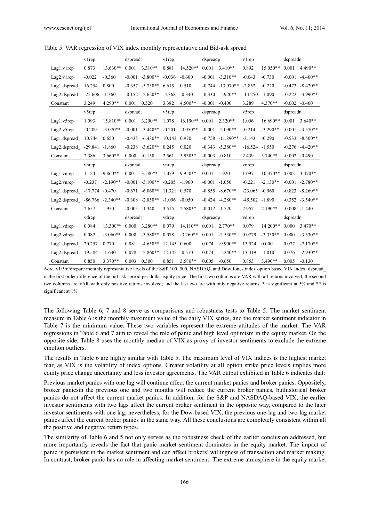|                       | vlrep             |                     | dspreadt |                    | vlrep        |            | dspreadp |                      | vlrep             |            | dspreadn |                   |
|-----------------------|-------------------|---------------------|----------|--------------------|--------------|------------|----------|----------------------|-------------------|------------|----------|-------------------|
| Lag1.v1rep            | 0.873             | $13.630**$          | 0.001    | $3.310**$          | 0.881        | 14.520**   | 0.001    | $3.410**$            | 0.892             | $15.050**$ | 0.001    | $4.490**$         |
| Lag2.v1rep            | $-0.022$          | $-0.360$            | $-0.001$ | $-3.800**$         | $-0.036$     | $-0.600$   | $-0.001$ | $-3.310**$           | $-0.043$          | $-0.730$   | $-0.001$ | $-4.400**$        |
| Lag1.dspread_16.254   |                   | 0.800               |          | $-0.357 -5.730**$  | 6.615        | 0.510      |          | $-0.744$ $-13.070**$ | $-2.852$          | $-0.220$   | $-0.473$ | $-8.420**$        |
| Lag2.dspread          | $-25.606 - 1.360$ |                     |          | $-0.152 -2.620**$  | $-4.368$     | $-0.340$   |          | $-0.330 -5.920**$    | $-14.250$         | $-1.090$   | $-0.222$ | $-3.990**$        |
| Constant              | 3.249             | 4.290**             | 0.001    | 0.520              | 3.382        | 4.500**    | $-0.001$ | $-0.400$             | 3.289             | 4.370**    |          | $-0.002 -0.460$   |
|                       | v5rep             |                     | dspreadt |                    | v5rep        |            | dspreadp |                      | v5rep             |            | dspreadn |                   |
| Lag1.v5rep            | 1.093             | 15.810**            | 0.001    | $3.290**$          | 1.078        | $16.190**$ | 0.001    | $2.320**$            | 1.096             | $16.690**$ | 0.001    | $3.640**$         |
| Lag2.v5rep            | $-0.209$          | $-3.070**$          | $-0.001$ | $-3.440**$         | $-0.201$     | $-3.050**$ | $-0.001$ | $-2.090**$           | $-0.214$          | $-3.290**$ |          | $-0.001 -3.570**$ |
| Lag1.dspread          | 10.744            | 0.650               |          | $-0.435 - 6.430**$ | 10.143       | 0.970      |          | $-0.758 - 11.890**$  | $-3.143$          | $-0.290$   | $-0.533$ | $-8.500**$        |
| Lag2.dspread_ -29.841 |                   | $-1.860$            | $-0.238$ | $-3.620**$         | 0.245        | 0.020      |          | $-0.343 - 5.380**$   | $-16.524 - 1.550$ |            |          | $-0.276 -4.420**$ |
| Constant              | 2.386             | $3.660**$           | 0.000    | $-0.150$           | 2.561        | $3.930**$  | $-0.003$ | $-0.810$             | 2.439             | $3.740**$  | $-0.002$ | $-0.490$          |
|                       | vnrep             |                     | dspreadt |                    | vnrep        |            | dspreadp |                      | vnrep             |            | dspreadn |                   |
| Lag1.vnrep            | 1.124             | 9.860**             | 0.001    | 3.580**            | 1.059        | $9.950**$  | 0.001    | 1.920                | 1.097             | $10.370**$ | 0.002    | $3.470**$         |
| Lag2.vnrep            | $-0.237$          | $-2.190**$          | $-0.001$ | $-3.100**$         | $-0.205$     | $-1.960$   | $-0.001$ | $-1.050$             | $-0.221$          | $-2.130**$ | $-0.001$ | $-2.780**$        |
| Lag1.dspread_ -17.774 |                   | $-0.470$            | $-0.671$ | $-6.060**$         | 11.321       | 0.570      | $-0.855$ | $-8.670**$           | $-23.065$         | $-0.960$   | $-0.823$ | $-8.260**$        |
| Lag2.dspread          |                   | $-86.766 - 2.340**$ | $-0.308$ | $-2.850**$         | $-1.096$     | $-0.050$   |          | $-0.424$ $-4.280**$  | $-45.502$         | $-1.890$   |          | $-0.352 -3.540**$ |
| Constant              | 2.657             | 1.950               |          | $-0.005 -1.340$    | 3.515        | $2.580**$  |          | $-0.012 -1.720$      | 2.957             | $2.190**$  |          | $-0.008 -1.440$   |
|                       | vdrep             |                     | dspreadt |                    | vdrep        |            | dspreadp |                      | vdrep             |            | dspreadn |                   |
| Lag1.vdrep            | 0.084             | 13.300**            | 0.000    | $3.280**$          | 0.079        | $14.110**$ | 0.001    | $2.770**$            | 0.079             | $14.200**$ | 0.000    | $3.470**$         |
| Lag2.vdrep            | 0.082             | $-3.060**$          | 0.000    | $-3.580**$         | 0.078        | $-3.260**$ | 0.001    | $-2.530**$           | 0.0779            | $-3.330**$ | 0.000    | $-3.530**$        |
| Lag1.dspread          | 20.257            | 0.770               | 0.081    | $-4.650**$         | 12.145 0.600 |            | 0.074    | $-9.900**$           | 13.524            | 0.000      | 0.077    | $-7.170**$        |
| Lag2.dspread 19.584   |                   | $-1.630$            | 0.078    | $-2.860**$         | 12.145       | $-0.510$   | 0.074    | $-5.240**$           | 13.419            | $-1.010$   | 0.076    | $-2.930**$        |
| Constant              | 0.850             | $3.370**$           | 0.003    | 0.300              | 0.851        | $3.580**$  | 0.005    | $-0.650$             | 0.853             | 3.490**    | 0.005    | $-0.130$          |

Table 5. VAR regression of VIX index monthly representative and Bid-ask spread

*Note.* v1/5/n/drepare monthly representative levels of the S&P 100, 500, NASDAQ, and Dow Jones index option based VIX Index. dspread\_ is the first order difference of the bid-ask spread per dollar equity price. The first two columns are VAR with all returns involved; the second two columns are VAR with only positive returns involved; and the last two are with only negative returns. \* is significant at 5% and \*\* is significant at 1%.

The following Table 6, 7 and 8 serve as comparisons and robustness tests to Table 5. The market sentiment measure in Table 6 is the monthly maximum value of the daily VIX series, and the market sentiment indicator in Table 7 is the minimum value. These two variables represent the extreme attitudes of the market. The VAR regressions in Table 6 and 7 aim to reveal the role of panic and high level optimism in the equity market. On the opposite side, Table 8 uses the monthly median of VIX as proxy of investor sentiments to exclude the extreme emotion outliers.

The results in Table 6 are highly similar with Table 5. The maximum level of VIX indices is the highest market fear, as VIX is the volatility of index options. Greater volatility at all option strike price levels implies more equity price change uncertainty and less investor agreements. The VAR output exhibited in Table 6 indicates that:

Previous market panics with one lag will continue affect the current market panics and broker panics. Oppositely, broker panicsin the previous one and two months will reduce the current broker panics, buthistorical broker panics do not affect the current market panics. In addition, for the S&P and NASDAQ-based VIX, the earlier investor sentiments with two lags affect the current broker sentiment in the opposite way, compared to the later investor sentiments with one lag; nevertheless, for the Dow-based VIX, the previous one-lag and two-lag market panics affect the current broker panics in the same way. All these conclusions are completely consistent within all the positive and negative return types.

The similarity of Table 6 and 5 not only serves as the robustness check of the earlier conclusion addressed, but more importantly reveals the fact that panic market sentiment dominates in the equity market. The impact of panic is persistent in the market sentiment and can affect brokers' willingness of transaction and market making. In contrast, broker panic has no role in affecting market sentiment. The extreme atmosphere in the equity market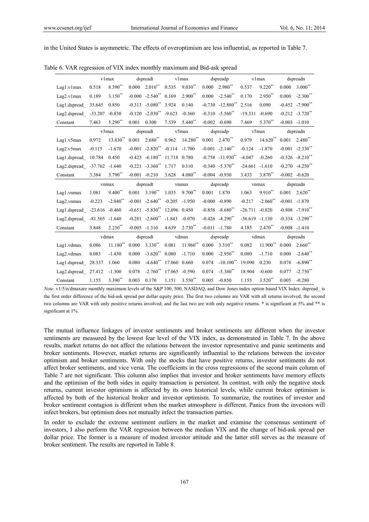in the United States is asymmetric. The effects of overoptimism are less influential, as reported in Table 7.

|                              |          | vlmax        |          | dspreadt             |               | vlmax      |       | dspreadp                         |                   | vlmax       |       | dspreadn                        |
|------------------------------|----------|--------------|----------|----------------------|---------------|------------|-------|----------------------------------|-------------------|-------------|-------|---------------------------------|
| Lag1.v1max                   | 0.518    | $8.390**$    | 0.000    | $2.010^{**}$         | 0.535         | $9.030**$  | 0.000 | 2.980**                          | 0.537             | $9.220$ **  | 0.000 | $3.000**$                       |
| Lag2.v1max                   | 0.189    | $3.150^{**}$ |          | $-0.000 -2.540$ **   | 0.169         | $2.900**$  | 0.000 | $-2.540$ **                      | 0.170             | $2.950**$   | 0.000 | $-2.300$ <sup>**</sup>          |
| Lag1.dspread 35.645          |          | 0.850        |          | $-0.313 -5.080$ **   | 3.924         | 0.140      |       | $-0.730 -12.880$ <sup>**</sup>   | 2.516             | 0.090       |       | $-0.452 -7.900$ **              |
| Lag2.dspread_ -33.207        |          | $-0.830$     |          | $-0.120 -2.030$ **   | $-9.623$      | $-0.360$   |       | $-0.310 -5.560$ **               | $-19.331$         | $-0.690$    |       | $-0.212$ $-3.720$ <sup>**</sup> |
| Constant                     | 7.463    | 5.290**      | 0.001    | 0.300                | 7.539         | $5.440**$  |       | $-0.002 -0.690$                  | 7.469             | 5.370**     |       | $-0.003 - 1.010$                |
|                              | v5max    |              |          | dspreadt             |               | v5max      |       | dspreadp                         |                   | v5max       |       | dspreadn                        |
| Lag1.v5max                   | 0.972    | 13.830**     | 0.001    | $2.680**$            | 0.962         | $14.280**$ | 0.001 | $2.470**$                        | 0.979             | $14.620**$  | 0.001 | $2.480**$                       |
| Lag2.v5max                   | $-0.115$ | $-1.670$     | $-0.001$ | $-2.820**$           | $-0.114$      | $-1.700$   |       | $-0.001 -2.140$ **               | $-0.124$          | $-1.870$    |       | $-0.001 -2.330$ **              |
| Lag1.dspread                 | 10.784   | 0.450        | $-0.423$ | $-6.180$ **          | 11.718 0.780  |            |       | $-0.758$ $-11.930$ <sup>**</sup> | $-4.047$          | $-0.260$    |       | $-0.526 - 8.210$ **             |
| Lag2.dspread_ -37.762 -1.640 |          |              |          | $-0.221 -3.360$ **   | 1.717         | 0.110      |       | $-0.340 -5.370$ **               | $-24.661$         | $-1.610$    |       | $-0.270 -4.250$ **              |
| Constant                     | 3.384    | $3.790^{**}$ |          | $-0.001 - 0.210$     | 3.628         | $4.080**$  |       | $-0.004 - 0.930$                 | 3.433             | 3.870**     |       | $-0.002 -0.620$                 |
|                              |          | vnmax        |          | dspreadt             |               | vnmax      |       | dspreadp                         |                   | vnmax       |       | dspreadn                        |
| Lag1.vnmax                   | 1.081    | $9.400**$    | 0.001    | $3.190**$            | 1.035         | 9.700**    | 0.001 | 1.870                            | 1.063             | $9.910**$   | 0.001 | $2.620**$                       |
| Lag2.vnmax                   | $-0.223$ | $-2.040$ **  |          | $-0.001 -2.640$ **   | $-0.205$      | $-1.950$   |       | $-0.000 - 0.890$                 | $-0.217$          | $-2.060$ ** |       | $-0.001 -1.870$                 |
| Lag1.dspread_ -23.616 -0.460 |          |              |          | $-0.651 -5.830^{**}$ | 12.096 0.450  |            |       | $-0.858 - 8.680^{**}$            | $-26.711 - 0.820$ |             |       | $-0.808 - 7.910$ **             |
| Lag2.dspread_ -81.565 -1.640 |          |              |          | $-0.281 -2.600^{**}$ | $-1.843$      | $-0.070$   |       | $-0.426 -4.290$ **               | $-36.619 - 1.130$ |             |       | $-0.334 -3.290$ **              |
| Constant                     | 3.848    | $2.230**$    |          | $-0.005 -1.310$      | 4.639         | $2.730**$  |       | $-0.011 -1.780$                  | 4.185             | $2.470**$   |       | $-0.008 - 1.410$                |
|                              |          | vdmax        |          | dspreadt             |               | vdmax      |       | dspreadp                         |                   | vdmax       |       | dspreadn                        |
| Lag1.vdmax                   | 0.086    | $11.180**$   | 0.000    | $3.330**$            | 0.081         | $11.960**$ | 0.000 | $3.310**$                        | 0.082             | 11.900**    | 0.000 | $2.660**$                       |
| Lag2.vdmax                   | 0.083    | $-1.430$     | 0.000    | $-3.620**$           | 0.080         | $-1.710$   | 0.000 | $-2.950$ **                      | 0.080             | $-1.710$    | 0.000 | $-2.640**$                      |
| Lag1.dspread_                | 28.337   | 1.060        | 0.080    | $-4.640$ **          | 17.060 0.660  |            | 0.074 | $-10.100**$                      | 19.090            | 0.230       | 0.078 | $-6.890**$                      |
| Lag2.dspread                 | 27.412   | $-1.300$     | 0.078    | $-2.760**$           | 17.065 -0.590 |            | 0.074 | $-5.380$ **                      | 18.904            | $-0.600$    | 0.077 | $-2.750$ **                     |
|                              |          |              |          |                      |               |            |       |                                  |                   |             |       |                                 |

Table 6. VAR regression of VIX index monthly maximum and Bid-ask spread

*Note.* v1/5/n/dmaxare monthly maximum levels of the S&P 100, 500, NASDAQ, and Dow Jones index option based VIX Index. dspread is the first order difference of the bid-ask spread per dollar equity price. The first two columns are VAR with all returns involved; the second two columns are VAR with only positive returns involved; and the last two are with only negative returns. \* is significant at 5% and \*\* is significant at 1%.

The mutual influence linkages of investor sentiments and broker sentiments are different when the investor sentiments are measured by the lowest fear level of the VIX index, as demonstrated in Table 7. In the above results, market returns do not affect the relations between the investor representative and panic sentiments and broker sentiments. However, market returns are significantly influential to the relations between the investor optimism and broker sentiments. With only the stocks that have positive returns, investor sentiments do not affect broker sentiments, and vice versa. The coefficients in the cross regressions of the second main column of Table 7 are not significant. This column also implies that investor and broker sentiments have memory effects and the optimism of the both sides in equity transaction is persistent. In contrast, with only the negative stock returns, current investor optimism is affected by its own historical levels, while current broker optimism is affected by both of the historical broker and investor optimism. To summarize, the routines of investor and broker sentiment contagion is different when the market atmosphere is different. Panics from the investors will infect brokers, but optimism does not mutually infect the transaction parties.

In order to exclude the extreme sentiment outliers in the market and examine the consensus sentiment of investors, I also perform the VAR regression between the median VIX and the change of bid-ask spread per dollar price. The former is a measure of modest investor attitude and the latter still serves as the measure of broker sentiment. The results are reported in Table 8.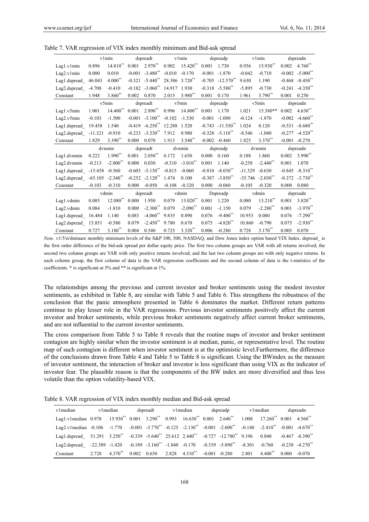|               |           | v1min                  |          | dspreadt               |          | v1min               |          | dspreadp                        |           | v1min                            |          | dspreadn                        |
|---------------|-----------|------------------------|----------|------------------------|----------|---------------------|----------|---------------------------------|-----------|----------------------------------|----------|---------------------------------|
| Lag1.v1min    | 0.896     | $14.810**$             | 0.001    | $2.970**$              | 0.902    | 15.420**            | 0.001    | 1.730                           | 0.936     | 15.930**                         | 0.002    | $4.760**$                       |
| Lag2.v1min    | 0.000     | 0.010                  | $-0.001$ | $-3.480$ **            | $-0.010$ | $-0.170$            | $-0.001$ | $-1.870$                        | $-0.042$  | $-0.710$                         |          | $-0.002 -5.000$ <sup>**</sup>   |
| Lag1.dspread  | 46.043    | $4.000**$              | $-0.321$ | $-5.440$ <sup>**</sup> |          | 28.386 3.720**      | $-0.705$ | $-12.570$ <sup>**</sup>         | 9.630     | 1.190                            |          | $-0.468 - 8.450^{**}$           |
| Lag2.dspread_ | $-4.708$  | $-0.410$               | $-0.182$ | $-3.060$ **            | 14.917   | 1.930               |          | $-0.318$ $-5.580$ <sup>**</sup> | $-5.895$  | $-0.730$                         |          | $-0.241 -4.350$ <sup>**</sup>   |
| Constant      | 1.948     | $3.860**$              | 0.002    | 0.870                  | 2.015    | 3.980 <sup>**</sup> | 0.001    | 0.170                           | 1.961     | 3.790**                          | 0.001    | 0.250                           |
|               | v5min     |                        |          | dspreadt               |          | v5min               |          | dspreadp                        |           | v5min                            |          | dspreadn                        |
| Lag1.v5min    | 1.001     | $14.400**$             | 0.001    | $2.890**$              | 0.996    | 14.800**            | 0.001    | 1.170                           | 1.021     | 15.380**                         | 0.002    | $4.630**$                       |
| Lag2.v5min    | $-0.103$  | $-1.500$               | $-0.001$ | $-3.100**$             | $-0.102$ | $-1.530$            | $-0.001$ | $-1.080$                        | $-0.124$  | $-1.870$                         |          | $-0.002 -4.660$ <sup>**</sup>   |
| Lag1.dspread  | 19.458    | 1.540                  | $-0.419$ | $-6.250**$             | 12.288   | 1.520               | $-0.743$ | $-11.550$ **                    | 1.024     | 0.120                            |          | $-0.531 - 8.680$ <sup>**</sup>  |
| Lag2.dspread  | $-11.321$ | $-0.910$               | $-0.233$ | $-3.530$ **            | 7.912    | 0.980               |          | $-0.328$ $-5.110$ **            | $-8.546$  | $-1.040$                         |          | $-0.277 -4.520$ **              |
| Constant      | 1.829     | 3.390**                | 0.000    | 0.070                  | 1.913    | $3.540**$           | $-0.002$ | $-0.460$                        | 1.825     | $3.370**$                        | $-0.001$ | $-0.270$                        |
|               |           | dvnmin                 |          | dspreadt               |          | dvnmin              |          | dspreadp                        |           | dvnmin                           |          | dspreadn                        |
| Lag1.dvnmin   | 0.222     | $1.990**$              | 0.001    | $2.050**$              | 0.172    | 1.650               | 0.000    | 0.160                           | 0.188     | 1.860                            | 0.002    | 3.990**                         |
| Lag2.dvnmin   | $-0.213$  | $-2.000$ <sup>**</sup> | 0.000    | 0.030                  | $-0.310$ | $-3.010**$          | 0.001    | 1.140                           | $-0.258$  | $-2.440$ <sup>**</sup>           | 0.001    | 1.070                           |
| Lag1.dspread  | $-15.458$ | $-0.560$               | $-0.603$ | $-5.130$ **            | $-0.815$ | $-0.060$            | $-0.810$ | $-8.030**$                      | $-11.329$ | $-0.630$                         |          | $-0.845 - 8.310^{**}$           |
| Lag2.dspread  | $-65.105$ | $-2.340$               | $-0.252$ | $-2.120$ <sup>**</sup> | 1.474    | 0.100               | $-0.387$ | $-3.850$ **                     |           | $-35.746$ $-2.030$ <sup>**</sup> |          | $-0.372$ $-3.730$ <sup>**</sup> |
| Constant      | $-0.103$  | $-0.310$               | 0.000    | $-0.050$               | $-0.108$ | $-0.320$            | 0.000    | $-0.060$                        | $-0.105$  | $-0.320$                         | 0.000    | 0.080                           |
|               |           | vdmin                  |          | dspreadt               |          | vdmin               |          | Dspreadp                        |           | vdmin                            |          | dspreadn                        |
| Lag1.vdmin    | 0.085     | 12.080**               | 0.000    | 1.950                  | 0.079    | $13.020**$          | 0.001    | 1.220                           | 0.080     | $13.210**$                       | 0.001    | 3.820**                         |
| Lag2.vdmin    | 0.084     | $-1.810$               | 0.000    | $-2.300**$             | 0.079    | $-2.090**$          | 0.001    | $-1.150$                        | 0.079     | $-2.280$ **                      | 0.001    | $-3.970$ **                     |
| Lag1.dspread_ | 16.484    | 1.140                  | 0.083    | $-4.060$ **            | 9.835    | 0.890               | 0.076    | $-9.400**$                      | 10.953    | 0.080                            | 0.076    | $-7.290$ <sup>**</sup>          |
| Lag2.dspread  | 15.851    | $-0.580$               | 0.079    | $-2.450**$             | 9.780    | 0.670               | 0.075    | $-4.820$ **                     | 10.860    | $-0.790$                         | 0.075    | $-2.930**$                      |
| Constant      | 0.727     | $3.180**$              | 0.004    | 0.540                  | 0.725    | $3.320**$           | 0.006    | $-0.280$                        | 0.728     | $3.170**$                        | 0.005    | 0.070                           |

Table 7. VAR regression of VIX index monthly minimum and Bid-ask spread

*Note.* v1/5/n/dminare monthly minimum levels of the S&P 100, 500, NASDAQ, and Dow Jones index option based VIX Index. dspread\_ is the first order difference of the bid-ask spread per dollar equity price. The first two column groups are VAR with all returns involved; the second two column groups are VAR with only positive returns involved; and the last two column groups are with only negative returns. In each column group, the first column of data is the VAR regression coefficients and the second column of data is the t-statistics of the coefficients. \* is significant at 5% and \*\* is significant at 1%.

The relationships among the previous and current investor and broker sentiments using the modest investor sentiments, as exhibited in Table 8, are similar with Table 5 and Table 6. This strengthens the robustness of the conclusion that the panic atmosphere presented in Table 6 dominates the market. Different return patterns continue to play lesser role in the VAR regressions. Previous investor sentiments positively affect the current investor and broker sentiments, while previous broker sentiments negatively affect current broker sentiments, and are not influential to the current investor sentiments.

The cross comparison from Table 5 to Table 8 reveals that the routine maps of investor and broker sentiment contagion are highly similar when the investor sentiment is at median, panic, or representative level. The routine map of such contagion is different when investor sentiment is at the optimistic level.Furthermore, the difference of the conclusions drawn from Table 4 and Table 5 to Table 8 is significant. Using the BWindex as the measure of investor sentiment, the interaction of broker and investor is less significant than using VIX as the indicator of investor fear. The plausible reason is that the components of the BW index are more diversified and thus less volatile than the option volatility-based VIX.

Table 8. VAR regression of VIX index monthly median and Bid-ask spread

| v1 median                                                                                                                                          |       | v1median     | dspreadt | v1 median | dspreadp                                                                   |          | v1 median                                  |       | dspreadn                        |
|----------------------------------------------------------------------------------------------------------------------------------------------------|-------|--------------|----------|-----------|----------------------------------------------------------------------------|----------|--------------------------------------------|-------|---------------------------------|
| Lag1.v1median $0.978$ 15.930* $0.001$ 3.290* $0.993$ 16.630* $0.001$ 2.640*                                                                        |       |              |          |           |                                                                            |          | $1.008$ $17.260^{**}$ $0.001$ $4.560^{**}$ |       |                                 |
| Lag2.v1median $-0.106$ $-1.770$ $-0.001$ $-3.770^{**}$ $-0.125$ $-2.130^{**}$ $-0.001$ $-2.600^{**}$ $-0.140$ $-2.410^{**}$ $-0.001$ $-4.670^{**}$ |       |              |          |           |                                                                            |          |                                            |       |                                 |
| Lag1.dspread 51.291 3.250** -0.339 -5.640** 25.612 2.440** -0.727 -12.780** 9.196 0.840                                                            |       |              |          |           |                                                                            |          |                                            |       | $-0.467 - 8.390^{**}$           |
| Lag2.dspread -22.389 -1.420 -0.189 -3.160 <sup>**</sup> -1.840 -0.170 -0.339 -5.890 <sup>**</sup>                                                  |       |              |          |           |                                                                            | $-8.301$ | $-0.760$                                   |       | $-0.238$ $-4.270$ <sup>**</sup> |
| Constant                                                                                                                                           | 2.728 | $4.370^{**}$ |          |           | $0.002 \quad 0.650 \quad 2.828 \quad 4.510^{**} \quad -0.001 \quad -0.280$ | 2.801    | $4.400**$                                  | 0.000 | $-0.070$                        |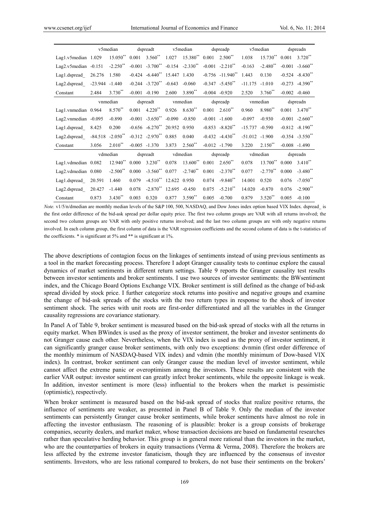|                        |                   | v5median               |          | dspreadt                            |               | v5median                        |          | dspreadp                         |                  | v5median               |       | dspreadn              |
|------------------------|-------------------|------------------------|----------|-------------------------------------|---------------|---------------------------------|----------|----------------------------------|------------------|------------------------|-------|-----------------------|
| Lag1.v5median 1.029    |                   | $15.050**$             |          | $0.001$ 3.560 <sup>**</sup>         |               | $1.027$ $15.380^{**}$           |          | $0.001$ $2.500**$                | 1.038            | 15.730**               | 0.001 | $3.720**$             |
| Lag2.v5median $-0.151$ |                   | $-2.250$ **            |          | $-0.001 -3.700$ <sup>**</sup>       |               | $-0.154$ $-2.330$ <sup>**</sup> |          | $-0.001 -2.210$ <sup>**</sup>    | $-0.163$         | $-2.480$ <sup>**</sup> |       | $-0.001 -3.660$ **    |
| Lag1.dspread           | 26.276            | 1.580                  |          | $-0.424$ $-6.440^{**}$ 15.447 1.430 |               |                                 |          | $-0.756$ $-11.940$ <sup>**</sup> | 1.443            | 0.130                  |       | $-0.524 -8.430$ **    |
| Lag2.dspread           | $-23.944 - 1.440$ |                        |          | $-0.244$ $-3.720$ <sup>**</sup>     | $-0.643$      | $-0.060$                        |          | $-0.347 -5.450$ **               | $-11.175$        | $-1.010$               |       | $-0.273$ $-4.390$ **  |
| Constant               | 2.484             | $3.730**$              |          | $-0.001 - 0.190$                    | 2.600         | 3.890 <sup>**</sup>             |          | $-0.004$ $-0.920$                | 2.520            | $3.760^{**}$           |       | $-0.002 -0.460$       |
|                        | vnmedian          |                        | dspreadt |                                     |               | vnmedian                        |          | dspreadp                         |                  | vnmedian               |       | dspreadn              |
| Lag1.vnmedian 0.964    |                   | 8.570**                | 0.001    | $4.220**$                           | 0.926         | $8.630**$                       | 0.001    | $2.610^{**}$                     | 0.960            | 8.980**                | 0.001 | $3.470^{**}$          |
| Lag2.vnmedian -0.095   |                   | $-0.890$               |          | $-0.001 -3.650$ <sup>**</sup>       | $-0.090$      | $-0.850$                        |          | $-0.001 -1.600$                  | $-0.097$         | $-0.930$               |       | $-0.001 -2.660$ **    |
| Lag1.dspread           | 8.425             | 0.200                  |          | $-0.656$ $-6.270$ <sup>**</sup>     | 20.952 0.950  |                                 |          | $-0.853 - 8.820$ <sup>**</sup>   | $-15.737$        | $-0.590$               |       | $-0.812 - 8.190^{**}$ |
| Lag2.dspread_          | $-84.518$         | $-2.050$ <sup>**</sup> |          | $-0.312$ $-2.970$ $0.885$           |               | 0.040                           |          | $-0.432 -4.430$ <sup>**</sup>    | $-51.012 -1.900$ |                        |       | $-0.354 -3.550$ **    |
| Constant               | 3.056             | $2.010^{**}$           |          | $-0.005 -1.370$                     | 3.873         | $2.560$ <sup>**</sup>           |          | $-0.012 -1.790$                  | 3.220            | $2.150^{**}$           |       | $-0.008 - 1.490$      |
|                        |                   | vdmedian               |          | dspreadt                            |               | vdmedian                        | dspreadp |                                  | vdmedian         |                        |       | dspreadn              |
| Lag1.vdmedian 0.082    |                   | 12.940**               | 0.000    | $3.230**$                           | 0.078         | 13.600 <sup>**</sup>            | 0.001    | $2.650**$                        | 0.078            | 13.700**               | 0.000 | $3.410^{**}$          |
| Lag2.vdmedian 0.080    |                   | $-2.500$ **            | 0.000    | $-3.560$ **                         | 0.077         | $-2.740$ **                     | 0.001    | $-2.370$ **                      | 0.077            | $-2.770$ **            | 0.000 | $-3.480$ **           |
| Lag1.dspread           | 20.591            | 1.460                  | 0.079    | $-4.510^{**}$ 12.622 0.950          |               |                                 | 0.074    | $-9.840$ **                      | 14.001           | 0.520                  | 0.076 | $-7.050**$            |
| Lag2.dspread           | 20.427            | $-1.440$               | 0.078    | $-2.870$ <sup>**</sup>              | 12.695 -0.450 |                                 | 0.075    | $-5.210$ **                      | 14.020           | $-0.870$               | 0.076 | $-2.900**$            |
| Constant               | 0.873             | $3.430**$              | 0.003    | 0.320                               | 0.877         | 3.590**                         | 0.005    | $-0.700$                         | 0.879            | $3.520**$              | 0.005 | $-0.100$              |

*Note.* v1/5/n/dmedian are monthly median levels of the S&P 100, 500, NASDAQ, and Dow Jones index option based VIX Index. dspread\_ is the first order difference of the bid-ask spread per dollar equity price. The first two column groups are VAR with all returns involved; the second two column groups are VAR with only positive returns involved; and the last two column groups are with only negative returns involved. In each column group, the first column of data is the VAR regression coefficients and the second column of data is the t-statistics of the coefficients. \* is significant at 5% and \*\* is significant at 1%.

The above descriptions of contagion focus on the linkages of sentiments instead of using previous sentiments as a tool in the market forecasting process. Therefore I adopt Granger causality tests to continue explore the causal dynamics of market sentiments in different return settings. Table 9 reports the Granger causality test results between investor sentiments and broker sentiments. I use two sources of investor sentiments: the BWsentiment index, and the Chicago Board Options Exchange VIX. Broker sentiment is still defined as the change of bid-ask spread divided by stock price. I further categorize stock returns into positive and negative groups and examine the change of bid-ask spreads of the stocks with the two return types in response to the shock of investor sentiment shock. The series with unit roots are first-order differentiated and all the variables in the Granger causality regressions are covariance stationary.

In Panel A of Table 9, broker sentiment is measured based on the bid-ask spread of stocks with all the returns in equity market. When BWindex is used as the proxy of investor sentiment, the broker and investor sentiments do not Granger cause each other. Nevertheless, when the VIX index is used as the proxy of investor sentiment, it can significantly granger cause broker sentiments, with only two exceptions: dvnmin (first order difference of the monthly minimum of NASDAQ-based VIX index) and vdmin (the monthly minimum of Dow-based VIX index). In contrast, broker sentiment can only Granger cause the median level of investor sentiment, while cannot affect the extreme panic or overoptimism among the investors. These results are consistent with the earlier VAR output: investor sentiment can greatly infect broker sentiments, while the opposite linkage is weak. In addition, investor sentiment is more (less) influential to the brokers when the market is pessimistic (optimistic), respectively.

When broker sentiment is measured based on the bid-ask spread of stocks that realize positive returns, the influence of sentiments are weaker, as presented in Panel B of Table 9. Only the median of the investor sentiments can persistently Granger cause broker sentiments, while broker sentiments have almost no role in affecting the investor enthusiasm. The reasoning of is plausible: broker is a group consists of brokerage companies, security dealers, and market maker, whose transaction decisions are based on fundamental researches rather than speculative herding behavior. This group is in general more rational than the investors in the market, who are the counterparties of brokers in equity transactions (Verma & Verma, 2008). Therefore the brokers are less affected by the extreme investor fanaticism, though they are influenced by the consensus of investor sentiments. Investors, who are less rational compared to brokers, do not base their sentiments on the brokers'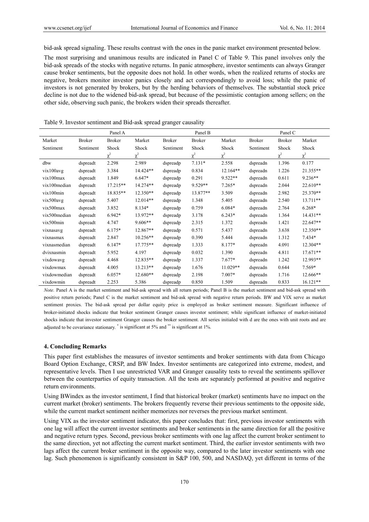bid-ask spread signaling. These results contrast with the ones in the panic market environment presented below.

The most surprising and unanimous results are indicated in Panel C of Table 9. This panel involves only the bid-ask spreads of the stocks with negative returns. In panic atmosphere, investor sentiments can always Granger cause broker sentiments, but the opposite does not hold. In other words, when the realized returns of stocks are negative, brokers monitor investor panics closely and act correspondingly to avoid loss; while the panic of investors is not generated by brokers, but by the herding behaviors of themselves. The substantial stock price decline is not due to the widened bid-ask spread, but because of the pessimistic contagion among sellers; on the other side, observing such panic, the brokers widen their spreads thereafter.

|               |               | Panel A       |            |               | Panel B       |            | Panel C       |               |            |  |
|---------------|---------------|---------------|------------|---------------|---------------|------------|---------------|---------------|------------|--|
| Market        | <b>Broker</b> | <b>Broker</b> | Market     | <b>Broker</b> | <b>Broker</b> | Market     | <b>Broker</b> | <b>Broker</b> | Market     |  |
| Sentiment     | Sentiment     | Shock         | Shock      | Sentiment     | Shock         | Shock      | Sentiment     | Shock         | Shock      |  |
|               |               | $\chi^2$      | $\chi^2$   |               | $\chi^2$      | $\chi^2$   |               | $\chi^2$      | $\chi^2$   |  |
| dbw           | dspreadt      | 2.298         | 2.989      | dspreadp      | $7.131*$      | 2.558      | dspreadn      | 1.396         | 0.177      |  |
| vix100avg     | dspreadt      | 3.384         | 14.424**   | dspreadp      | 0.834         | $12.164**$ | dspreadn      | 1.226         | 21.355**   |  |
| vix100max     | dspreadt      | 1.849         | 6.647*     | dspreadp      | 0.291         | $9.522**$  | dspreadn      | 0.611         | $9.236**$  |  |
| vix100median  | dspreadt      | 17.215**      | 14.274**   | dspreadp      | 9.529**       | $7.265*$   | dspreadn      | 2.044         | 22.610**   |  |
| vix100min     | dspreadt      | 18.835**      | $12.350**$ | dspreadp      | 13.877**      | 3.509      | dspreadn      | 2.982         | 25.370**   |  |
| vix500avg     | dspreadt      | 5.407         | $12.014**$ | dspreadp      | 1.348         | 5.405      | dspreadn      | 2.540         | 13.711**   |  |
| vix500max     | dspreadt      | 3.852         | 8.134*     | dspreadp      | 0.759         | $6.084*$   | dspreadn      | 2.764         | $6.268*$   |  |
| vix500 median | dspreadt      | 6.942*        | 13.972**   | dspreadp      | 3.178         | $6.243*$   | dspreadn      | 1.364         | $14.431**$ |  |
| vix500min     | dspreadt      | 4.747         | $9.606**$  | dspreadp      | 2.315         | 1.372      | dspreadn      | 1.421         | 22.647**   |  |
| vixnasavg     | dspreadt      | $6.175*$      | 12.867**   | dspreadp      | 0.571         | 5.437      | dspreadn      | 3.638         | 12.350**   |  |
| vixnasmax     | dspreadt      | 2.847         | 10.256**   | dspreadp      | 0.390         | 5.444      | dspreadn      | 1.312         | 7.434*     |  |
| vixnasmedian  | dspreadt      | $6.147*$      | 17.775**   | dspreadp      | 1.333         | 8.177*     | dspreadn      | 4.091         | $12.304**$ |  |
| dvixnasmin    | dspreadt      | 5.952         | 4.197      | dspreadp      | 0.032         | 1.390      | dspreadn      | 4.811         | $17.671**$ |  |
| vixdowavg     | dspreadt      | 4.468         | 12.835**   | dspreadp      | 1.337         | $7.677*$   | dspreadn      | 1.242         | 12.993**   |  |
| vixdowmax     | dspreadt      | 4.005         | 13.213**   | dspreadp      | 1.676         | $11.029**$ | dspreadn      | 0.644         | 7.569*     |  |
| vixdowmedian  | dspreadt      | $6.057*$      | 12.680**   | dspreadp      | 2.198         | $7.007*$   | dspreadn      | 1.716         | 12.666**   |  |
| vixdowmin     | dspreadt      | 2.253         | 5.386      | dspreadp      | 0.850         | 1.509      | dspreadn      | 0.833         | $16.121**$ |  |

#### Table 9. Investor sentiment and Bid-ask spread granger causality

*Note.* Panel A is the market sentiment and bid-ask spread with all return periods; Panel B is the market sentiment and bid-ask spread with positive return periods; Panel C is the market sentiment and bid-ask spread with negative return periods. BW and VIX serve as market sentiment proxies. The bid-ask spread per dollar equity price is employed as broker sentiment measure. Significant influence of broker-initiated shocks indicate that broker sentiment Granger causes investor sentiment; while significant influence of market-initiated shocks indicate that investor sentiment Granger causes the broker sentiment. All series initialed with d are the ones with unit roots and are adjusted to be covariance stationary. \* is significant at 5% and \*\* is significant at 1%.

#### **4. Concluding Remarks**

This paper first establishes the measures of investor sentiments and broker sentiments with data from Chicago Board Option Exchange, CRSP, and BW Index. Investor sentiments are categorized into extreme, modest, and representative levels. Then I use unrestricted VAR and Granger causality tests to reveal the sentiments spillover between the counterparties of equity transaction. All the tests are separately performed at positive and negative return environments.

Using BWindex as the investor sentiment, I find that historical broker (market) sentiments have no impact on the current market (broker) sentiments. The brokers frequently reverse their previous sentiments to the opposite side, while the current market sentiment neither memorizes nor reverses the previous market sentiment.

Using VIX as the investor sentiment indicator, this paper concludes that: first, previous investor sentiments with one lag will affect the current investor sentiments and broker sentiments in the same direction for all the positive and negative return types. Second, previous broker sentiments with one lag affect the current broker sentiment to the same direction, yet not affecting the current market sentiment. Third, the earlier investor sentiments with two lags affect the current broker sentiment in the opposite way, compared to the later investor sentiments with one lag. Such phenomenon is significantly consistent in S&P 100, 500, and NASDAQ, yet different in terms of the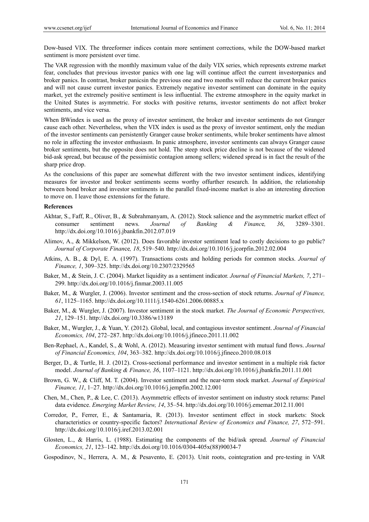Dow-based VIX. The threeformer indices contain more sentiment corrections, while the DOW-based market sentiment is more persistent over time.

The VAR regression with the monthly maximum value of the daily VIX series, which represents extreme market fear, concludes that previous investor panics with one lag will continue affect the current investorpanics and broker panics. In contrast, broker panicsin the previous one and two months will reduce the current broker panics and will not cause current investor panics. Extremely negative investor sentiment can dominate in the equity market, yet the extremely positive sentiment is less influential. The extreme atmosphere in the equity market in the United States is asymmetric. For stocks with positive returns, investor sentiments do not affect broker sentiments, and vice versa.

When BWindex is used as the proxy of investor sentiment, the broker and investor sentiments do not Granger cause each other. Nevertheless, when the VIX index is used as the proxy of investor sentiment, only the median of the investor sentiments can persistently Granger cause broker sentiments, while broker sentiments have almost no role in affecting the investor enthusiasm. In panic atmosphere, investor sentiments can always Granger cause broker sentiments, but the opposite does not hold. The steep stock price decline is not because of the widened bid-ask spread, but because of the pessimistic contagion among sellers; widened spread is in fact the result of the sharp price drop.

As the conclusions of this paper are somewhat different with the two investor sentiment indices, identifying measures for investor and broker sentiments seems worthy offurther research. In addition, the relationship between bond broker and investor sentiments in the parallel fixed-income market is also an interesting direction to move on. I leave those extensions for the future.

#### **References**

- Akhtar, S., Faff, R., Oliver, B., & Subrahmanyam, A. (2012). Stock salience and the asymmetric market effect of consumer sentiment news. *Journal of Banking & Financ*e*, 36*, 3289–3301. http://dx.doi.org/10.1016/j.jbankfin.2012.07.019
- Alimov, A., & Mikkelson, W. (2012). Does favorable investor sentiment lead to costly decisions to go public? *Journal of Corporate Finan*ce*, 18*, 519–540. http://dx.doi.org/10.1016/j.jcorpfin.2012.02.004
- Atkins, A. B., & Dyl, E. A. (1997). Transactions costs and holding periods for common stocks. *Journal of Finance, 1*, 309–325. http://dx.doi.org/10.2307/2329565
- Baker, M., & Stein, J. C. (2004). Market liquidity as a sentiment indicator. *Journal of Financial Markets, 7*, 271– 299. http://dx.doi.org/10.1016/j.finmar.2003.11.005
- Baker, M., & Wurgler, J. (2006). Investor sentiment and the cross-section of stock returns. *Journal of Finance, 61*, 1125–1165. http://dx.doi.org/10.1111/j.1540-6261.2006.00885.x
- Baker, M., & Wurgler, J. (2007). Investor sentiment in the stock market. *The Journal of Economic Perspectives, 21*, 129–151. http://dx.doi.org/10.3386/w13189
- Baker, M., Wurgler, J., & Yuan, Y. (2012). Global, local, and contagious investor sentiment. *Journal of Financial Economics, 104*, 272–287. http://dx.doi.org/10.1016/j.jfineco.2011.11.002
- Ben-Rephael, A., Kandel, S., & Wohl, A. (2012). Measuring investor sentiment with mutual fund flows. *Journal of Financial Economics, 104*, 363–382. http://dx.doi.org/10.1016/j.jfineco.2010.08.018
- Berger, D., & Turtle, H. J. (2012). Cross-sectional performance and investor sentiment in a multiple risk factor model. *Journal of Banking & Finance, 36*, 1107–1121. http://dx.doi.org/10.1016/j.jbankfin.2011.11.001
- Brown, G. W., & Cliff, M. T. (2004). Investor sentiment and the near-term stock market. *Journal of Empirical Finance, 11*, 1–27. http://dx.doi.org/10.1016/j.jempfin.2002.12.001
- Chen, M., Chen, P., & Lee, C. (2013). Asymmetric effects of investor sentiment on industry stock returns: Panel data evidence. *Emerging Market Review, 14*, 35–54. http://dx.doi.org/10.1016/j.ememar.2012.11.001
- Corredor, P., Ferrer, E., & Santamaria, R. (2013). Investor sentiment effect in stock markets: Stock characteristics or country-specific factors? *International Review of Economics and Finance, 27*, 572–591. http://dx.doi.org/10.1016/j.iref.2013.02.001
- Glosten, L., & Harris, L. (1988). Estimating the components of the bid/ask spread. *Journal of Financial Economics, 21*, 123–142. http://dx.doi.org/10.1016/0304-405x(88)90034-7
- Gospodinov, N., Herrera, A. M., & Pesavento, E. (2013). Unit roots, cointegration and pre-testing in VAR